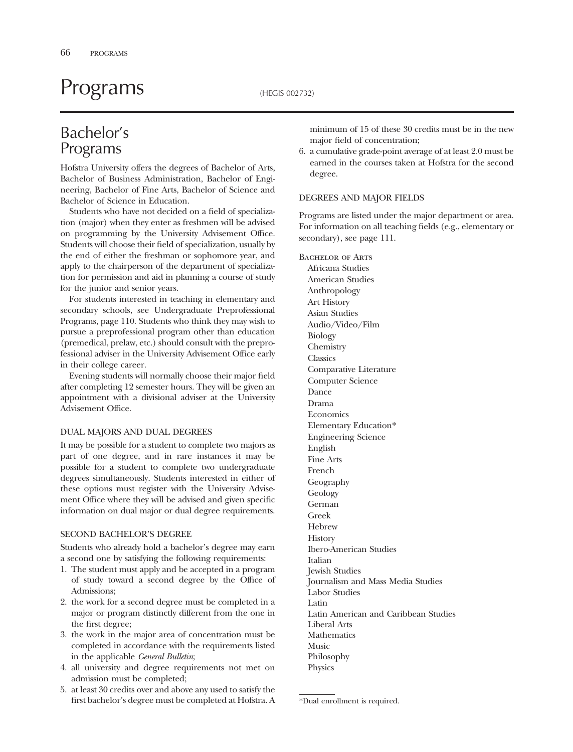# Programs (HEGIS 002732)

# Bachelor's Programs

Hofstra University offers the degrees of Bachelor of Arts, Bachelor of Business Administration, Bachelor of Engineering, Bachelor of Fine Arts, Bachelor of Science and Bachelor of Science in Education.

Students who have not decided on a feld of specialization (major) when they enter as freshmen will be advised on programming by the University Advisement Office. Students will choose their feld of specialization, usually by the end of either the freshman or sophomore year, and apply to the chairperson of the department of specialization for permission and aid in planning a course of study for the junior and senior years.

For students interested in teaching in elementary and secondary schools, see Undergraduate Preprofessional Programs, page 110. Students who think they may wish to pursue a preprofessional program other than education (premedical, prelaw, etc.) should consult with the preprofessional adviser in the University Advisement Office early in their college career.

Evening students will normally choose their major feld after completing 12 semester hours. They will be given an appointment with a divisional adviser at the University Advisement Office.

#### DUAL MAJORS AND DUAL DEGREES

It may be possible for a student to complete two majors as part of one degree, and in rare instances it may be possible for a student to complete two undergraduate degrees simultaneously. Students interested in either of these options must register with the University Advisement Office where they will be advised and given specific information on dual major or dual degree requirements.

#### SECOND BACHELOR'S DEGREE

Students who already hold a bachelor's degree may earn a second one by satisfying the following requirements:

- 1. The student must apply and be accepted in a program of study toward a second degree by the Office of Admissions;
- 2. the work for a second degree must be completed in a major or program distinctly different from the one in the frst degree;
- 3. the work in the major area of concentration must be completed in accordance with the requirements listed in the applicable *General Bulletin*;
- 4. all university and degree requirements not met on admission must be completed;
- 5. at least 30 credits over and above any used to satisfy the frst bachelor's degree must be completed at Hofstra. A

minimum of 15 of these 30 credits must be in the new major feld of concentration;

6. a cumulative grade-point average of at least 2.0 must be earned in the courses taken at Hofstra for the second degree.

#### DEGREES AND MAJOR FIELDS

Programs are listed under the major department or area. For information on all teaching felds (e.g., elementary or secondary), see page 111.

Bachelor of Arts Africana Studies American Studies Anthropology Art History Asian Studies Audio/Video/Film Biology Chemistry **Classics** Comparative Literature Computer Science Dance Drama Economics Elementary Education\* Engineering Science English Fine Arts French Geography Geology German Greek Hebrew **History** Ibero-American Studies Italian Jewish Studies Journalism and Mass Media Studies Labor Studies Latin Latin American and Caribbean Studies Liberal Arts **Mathematics** Music Philosophy Physics

<sup>\*</sup>Dual enrollment is required.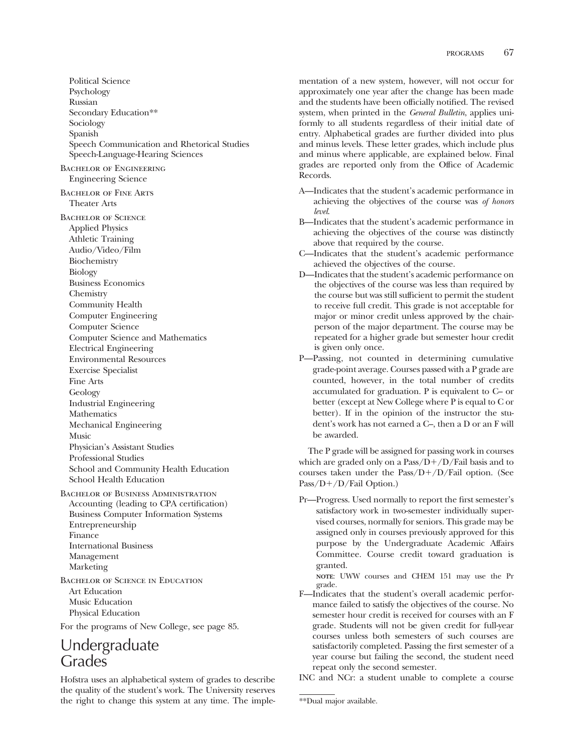Political Science Psychology Russian Secondary Education\*\* Sociology Spanish Speech Communication and Rhetorical Studies Speech-Language-Hearing Sciences Bachelor of Engineering Engineering Science Bachelor of Fine Arts Theater Arts Bachelor of Science Applied Physics Athletic Training Audio/Video/Film Biochemistry Biology Business Economics Chemistry Community Health Computer Engineering Computer Science Computer Science and Mathematics Electrical Engineering Environmental Resources Exercise Specialist Fine Arts Geology Industrial Engineering Mathematics Mechanical Engineering Music Physician's Assistant Studies Professional Studies School and Community Health Education School Health Education Bachelor of Business Administration Accounting (leading to CPA certifcation) Business Computer Information Systems Entrepreneurship Finance International Business

Bachelor of Science in Education Art Education Music Education Physical Education

For the programs of New College, see page 85.

# Undergraduate **Grades**

Management Marketing

Hofstra uses an alphabetical system of grades to describe the quality of the student's work. The University reserves the right to change this system at any time. The implementation of a new system, however, will not occur for approximately one year after the change has been made and the students have been officially notified. The revised system, when printed in the *General Bulletin*, applies uniformly to all students regardless of their initial date of entry. Alphabetical grades are further divided into plus and minus levels. These letter grades, which include plus and minus where applicable, are explained below. Final grades are reported only from the Office of Academic Records.

- A—Indicates that the student's academic performance in achieving the objectives of the course was *of honors level*.
- B—Indicates that the student's academic performance in achieving the objectives of the course was distinctly above that required by the course.
- C—Indicates that the student's academic performance achieved the objectives of the course.
- D—Indicates that the student's academic performance on the objectives of the course was less than required by the course but was still sufficient to permit the student to receive full credit. This grade is not acceptable for major or minor credit unless approved by the chairperson of the major department. The course may be repeated for a higher grade but semester hour credit is given only once.
- P—Passing, not counted in determining cumulative grade-point average. Courses passed with a P grade are counted, however, in the total number of credits accumulated for graduation. P is equivalent to C– or better (except at New College where P is equal to C or better). If in the opinion of the instructor the student's work has not earned a C–, then a D or an F will be awarded.

The P grade will be assigned for passing work in courses which are graded only on a  $Pass/D+/D/Tail$  basis and to courses taken under the  $Pass/D+/D/Fall$  option. (See  $Pass/D+/D/Fail Option.)$ 

Pr—Progress. Used normally to report the frst semester's satisfactory work in two-semester individually supervised courses, normally for seniors. This grade may be assigned only in courses previously approved for this purpose by the Undergraduate Academic Affairs Committee. Course credit toward graduation is granted.

**NOTE**: UWW courses and CHEM 151 may use the Pr grade.

F—Indicates that the student's overall academic performance failed to satisfy the objectives of the course. No semester hour credit is received for courses with an F grade. Students will not be given credit for full-year courses unless both semesters of such courses are satisfactorily completed. Passing the frst semester of a year course but failing the second, the student need repeat only the second semester.

INC and NCr: a student unable to complete a course

<sup>\*\*</sup>Dual major available.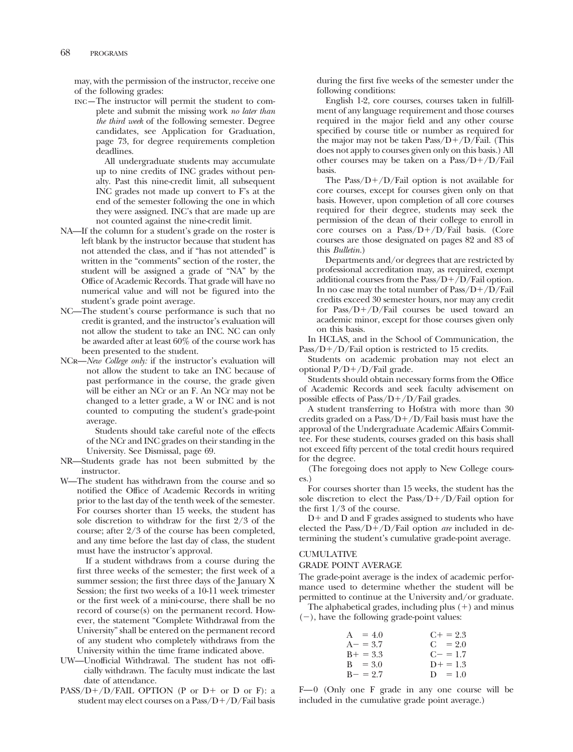may, with the permission of the instructor, receive one of the following grades:

inc—The instructor will permit the student to complete and submit the missing work *no later than the third week* of the following semester. Degree candidates, see Application for Graduation, page 73, for degree requirements completion deadlines.

> All undergraduate students may accumulate up to nine credits of INC grades without penalty. Past this nine-credit limit, all subsequent INC grades not made up convert to F's at the end of the semester following the one in which they were assigned. INC's that are made up are not counted against the nine-credit limit.

- NA—If the column for a student's grade on the roster is left blank by the instructor because that student has not attended the class, and if "has not attended" is written in the "comments" section of the roster, the student will be assigned a grade of "NA" by the Office of Academic Records. That grade will have no numerical value and will not be fgured into the student's grade point average.
- NC—The student's course performance is such that no credit is granted, and the instructor's evaluation will not allow the student to take an INC. NC can only be awarded after at least 60% of the course work has been presented to the student.
- NCr—*New College only:* if the instructor's evaluation will not allow the student to take an INC because of past performance in the course, the grade given will be either an NCr or an F. An NCr may not be changed to a letter grade, a W or INC and is not counted to computing the student's grade-point average.

Students should take careful note of the effects of the NCr and INC grades on their standing in the University. See Dismissal, page 69.

- NR—Students grade has not been submitted by the instructor.
- W—The student has withdrawn from the course and so notified the Office of Academic Records in writing prior to the last day of the tenth week of the semester. For courses shorter than 15 weeks, the student has sole discretion to withdraw for the frst 2/3 of the course; after 2/3 of the course has been completed, and any time before the last day of class, the student must have the instructor's approval.

If a student withdraws from a course during the frst three weeks of the semester; the frst week of a summer session; the frst three days of the January X Session; the frst two weeks of a 10-11 week trimester or the frst week of a mini-course, there shall be no record of course(s) on the permanent record. However, the statement "Complete Withdrawal from the University" shall be entered on the permanent record of any student who completely withdraws from the University within the time frame indicated above.

- UW-Unofficial Withdrawal. The student has not officially withdrawn. The faculty must indicate the last date of attendance.
- PASS/D+/D/FAIL OPTION (P or D+ or D or F): a student may elect courses on a  $Pass/D+/D/Fall \ basis$

during the frst fve weeks of the semester under the following conditions:

English 1-2, core courses, courses taken in fulfllment of any language requirement and those courses required in the major feld and any other course specifed by course title or number as required for the major may not be taken  $Pass/D+/D/Fall$ . (This does not apply to courses given only on this basis.) All other courses may be taken on a  $Pass/D+/D/Fall$ basis.

The Pass/ $D+/D/Fail$  option is not available for core courses, except for courses given only on that basis. However, upon completion of all core courses required for their degree, students may seek the permission of the dean of their college to enroll in core courses on a  $Pass/D+/D/fail$  basis. (Core courses are those designated on pages 82 and 83 of this *Bulletin.*)

Departments and/or degrees that are restricted by professional accreditation may, as required, exempt additional courses from the Pass/ $D+/D/F$ ail option. In no case may the total number of  $Pass/D+/\hat{D}/Fall$ credits exceed 30 semester hours, nor may any credit for  $Pass/D+/D/Fail$  courses be used toward an academic minor, except for those courses given only on this basis.

In HCLAS, and in the School of Communication, the  $Pass/D+/D/Fail$  option is restricted to 15 credits.

Students on academic probation may not elect an optional  $P/D+ / D/F$ ail grade.

Students should obtain necessary forms from the Office of Academic Records and seek faculty advisement on possible effects of Pass/ $D+/D$ /Fail grades.

A student transferring to Hofstra with more than 30 credits graded on a Pass/ $D+/D$ /Fail basis must have the approval of the Undergraduate Academic Affairs Committee. For these students, courses graded on this basis shall not exceed ffty percent of the total credit hours required for the degree.

(The foregoing does not apply to New College courses.)

For courses shorter than 15 weeks, the student has the sole discretion to elect the  $Pass/D+/D/Fail$  option for the frst 1/3 of the course.

 $D+$  and  $D$  and  $F$  grades assigned to students who have elected the Pass/ $D+/D$ /Fail option *are* included in determining the student's cumulative grade-point average.

## **CUMULATIVE**

#### GRADE POINT AVERAGE

The grade-point average is the index of academic performance used to determine whether the student will be permitted to continue at the University and/or graduate.

The alphabetical grades, including plus  $(+)$  and minus  $(-)$ , have the following grade-point values:

| $A = 4.0$   | $C_{\pm} = 2.3$ |
|-------------|-----------------|
| $A - = 3.7$ | $C = 2.0$       |
| $B+ = 3.3$  | $C = 1.7$       |
| $B = 3.0$   | $D_{+} = 1.3$   |
| $B - = 2.7$ | $D = 1.0$       |
|             |                 |

F—0 (Only one F grade in any one course will be included in the cumulative grade point average.)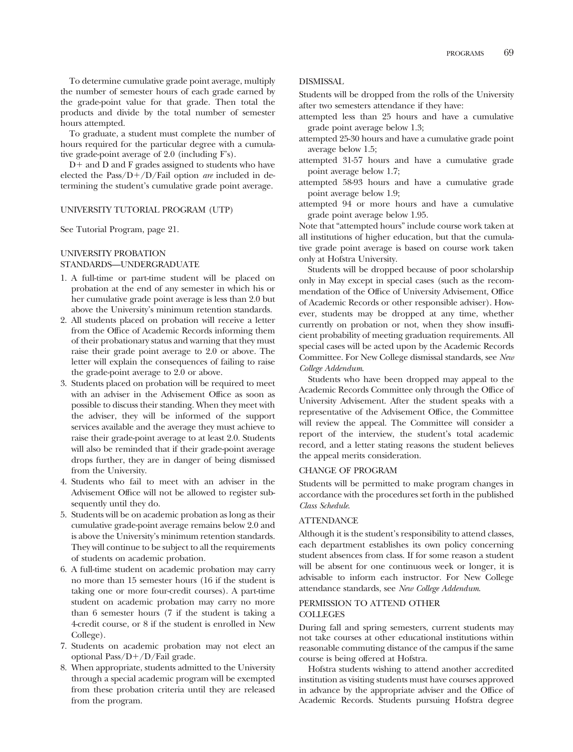To determine cumulative grade point average, multiply the number of semester hours of each grade earned by the grade-point value for that grade. Then total the products and divide by the total number of semester hours attempted.

To graduate, a student must complete the number of hours required for the particular degree with a cumulative grade-point average of 2.0 (including F's).

 $D<sup>+</sup>$  and D and F grades assigned to students who have elected the Pass/ $D+/D$ /Fail option *are* included in determining the student's cumulative grade point average.

# UNIVERSITY TUTORIAL PROGRAM (UTP)

See Tutorial Program, page 21.

#### UNIVERSITY PROBATION STANDARDS—UNDERGRADUATE

- 1. A full-time or part-time student will be placed on probation at the end of any semester in which his or her cumulative grade point average is less than 2.0 but above the University's minimum retention standards.
- 2. All students placed on probation will receive a letter from the Office of Academic Records informing them of their probationary status and warning that they must raise their grade point average to 2.0 or above. The letter will explain the consequences of failing to raise the grade-point average to 2.0 or above.
- 3. Students placed on probation will be required to meet with an adviser in the Advisement Office as soon as possible to discuss their standing. When they meet with the adviser, they will be informed of the support services available and the average they must achieve to raise their grade-point average to at least 2.0. Students will also be reminded that if their grade-point average drops further, they are in danger of being dismissed from the University.
- 4. Students who fail to meet with an adviser in the Advisement Office will not be allowed to register subsequently until they do.
- 5. Students will be on academic probation as long as their cumulative grade-point average remains below 2.0 and is above the University's minimum retention standards. They will continue to be subject to all the requirements of students on academic probation.
- 6. A full-time student on academic probation may carry no more than 15 semester hours (16 if the student is taking one or more four-credit courses). A part-time student on academic probation may carry no more than 6 semester hours (7 if the student is taking a 4-credit course, or 8 if the student is enrolled in New College).
- 7. Students on academic probation may not elect an optional  $Pass/D+/D/Fall\ grade.$
- 8. When appropriate, students admitted to the University through a special academic program will be exempted from these probation criteria until they are released from the program.

## DISMISSAL

Students will be dropped from the rolls of the University after two semesters attendance if they have:

- attempted less than 25 hours and have a cumulative grade point average below 1.3;
- attempted 25-30 hours and have a cumulative grade point average below 1.5;
- attempted 31-57 hours and have a cumulative grade point average below 1.7;
- attempted 58-93 hours and have a cumulative grade point average below 1.9;
- attempted 94 or more hours and have a cumulative grade point average below 1.95.

Note that "attempted hours" include course work taken at all institutions of higher education, but that the cumulative grade point average is based on course work taken only at Hofstra University.

Students will be dropped because of poor scholarship only in May except in special cases (such as the recommendation of the Office of University Advisement, Office of Academic Records or other responsible adviser). However, students may be dropped at any time, whether currently on probation or not, when they show insuffcient probability of meeting graduation requirements. All special cases will be acted upon by the Academic Records Committee. For New College dismissal standards, see *New College Addendum*.

Students who have been dropped may appeal to the Academic Records Committee only through the Office of University Advisement. After the student speaks with a representative of the Advisement Office, the Committee will review the appeal. The Committee will consider a report of the interview, the student's total academic record, and a letter stating reasons the student believes the appeal merits consideration.

#### CHANGE OF PROGRAM

Students will be permitted to make program changes in accordance with the procedures set forth in the published *Class Schedule*.

#### **ATTENDANCE**

Although it is the student's responsibility to attend classes, each department establishes its own policy concerning student absences from class. If for some reason a student will be absent for one continuous week or longer, it is advisable to inform each instructor. For New College attendance standards, see *New College Addendum*.

# PERMISSION TO ATTEND OTHER **COLLEGES**

During fall and spring semesters, current students may not take courses at other educational institutions within reasonable commuting distance of the campus if the same course is being offered at Hofstra.

Hofstra students wishing to attend another accredited institution as visiting students must have courses approved in advance by the appropriate adviser and the Office of Academic Records. Students pursuing Hofstra degree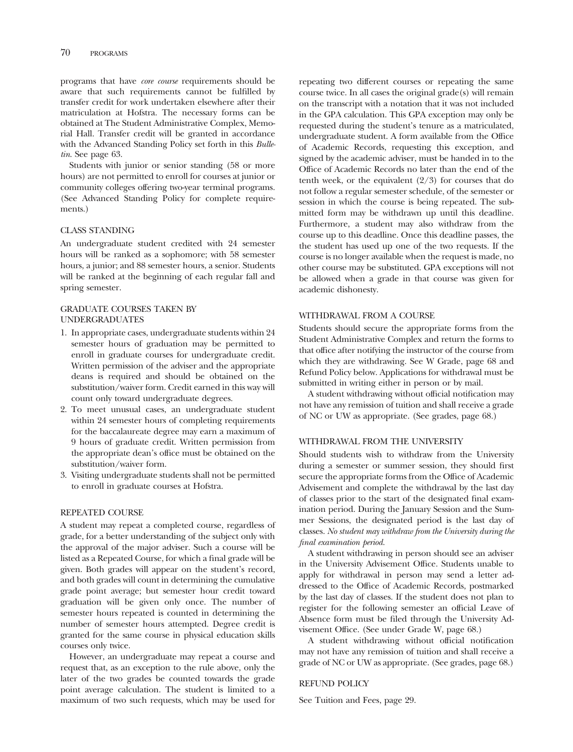programs that have *core course* requirements should be aware that such requirements cannot be fulflled by transfer credit for work undertaken elsewhere after their matriculation at Hofstra. The necessary forms can be obtained at The Student Administrative Complex, Memorial Hall. Transfer credit will be granted in accordance with the Advanced Standing Policy set forth in this *Bulletin*. See page 63.

Students with junior or senior standing (58 or more hours) are not permitted to enroll for courses at junior or community colleges offering two-year terminal programs. (See Advanced Standing Policy for complete requirements.)

#### CLASS STANDING

An undergraduate student credited with 24 semester hours will be ranked as a sophomore; with 58 semester hours, a junior; and 88 semester hours, a senior. Students will be ranked at the beginning of each regular fall and spring semester.

# GRADUATE COURSES TAKEN BY UNDERGRADUATES

- 1. In appropriate cases, undergraduate students within 24 semester hours of graduation may be permitted to enroll in graduate courses for undergraduate credit. Written permission of the adviser and the appropriate deans is required and should be obtained on the substitution/waiver form. Credit earned in this way will count only toward undergraduate degrees.
- 2. To meet unusual cases, an undergraduate student within 24 semester hours of completing requirements for the baccalaureate degree may earn a maximum of 9 hours of graduate credit. Written permission from the appropriate dean's office must be obtained on the substitution/waiver form.
- 3. Visiting undergraduate students shall not be permitted to enroll in graduate courses at Hofstra.

#### REPEATED COURSE

A student may repeat a completed course, regardless of grade, for a better understanding of the subject only with the approval of the major adviser. Such a course will be listed as a Repeated Course, for which a fnal grade will be given. Both grades will appear on the student's record, and both grades will count in determining the cumulative grade point average; but semester hour credit toward graduation will be given only once. The number of semester hours repeated is counted in determining the number of semester hours attempted. Degree credit is granted for the same course in physical education skills courses only twice.

However, an undergraduate may repeat a course and request that, as an exception to the rule above, only the later of the two grades be counted towards the grade point average calculation. The student is limited to a maximum of two such requests, which may be used for

repeating two different courses or repeating the same course twice. In all cases the original grade(s) will remain on the transcript with a notation that it was not included in the GPA calculation. This GPA exception may only be requested during the student's tenure as a matriculated, undergraduate student. A form available from the Office of Academic Records, requesting this exception, and signed by the academic adviser, must be handed in to the Office of Academic Records no later than the end of the tenth week, or the equivalent  $(2/3)$  for courses that do not follow a regular semester schedule, of the semester or session in which the course is being repeated. The submitted form may be withdrawn up until this deadline. Furthermore, a student may also withdraw from the course up to this deadline. Once this deadline passes, the the student has used up one of the two requests. If the course is no longer available when the request is made, no other course may be substituted. GPA exceptions will not be allowed when a grade in that course was given for academic dishonesty.

# WITHDRAWAL FROM A COURSE

Students should secure the appropriate forms from the Student Administrative Complex and return the forms to that office after notifying the instructor of the course from which they are withdrawing. See W Grade, page 68 and Refund Policy below. Applications for withdrawal must be submitted in writing either in person or by mail.

A student withdrawing without offcial notifcation may not have any remission of tuition and shall receive a grade of NC or UW as appropriate. (See grades, page 68.)

#### WITHDRAWAL FROM THE UNIVERSITY

Should students wish to withdraw from the University during a semester or summer session, they should frst secure the appropriate forms from the Office of Academic Advisement and complete the withdrawal by the last day of classes prior to the start of the designated fnal examination period. During the January Session and the Summer Sessions, the designated period is the last day of classes. *No student may withdraw from the University during the final examination period.* 

A student withdrawing in person should see an adviser in the University Advisement Office. Students unable to apply for withdrawal in person may send a letter addressed to the Office of Academic Records, postmarked by the last day of classes. If the student does not plan to register for the following semester an offcial Leave of Absence form must be fled through the University Advisement Office. (See under Grade W, page 68.)

A student withdrawing without offcial notifcation may not have any remission of tuition and shall receive a grade of NC or UW as appropriate. (See grades, page 68.)

#### REFUND POLICY

See Tuition and Fees, page 29.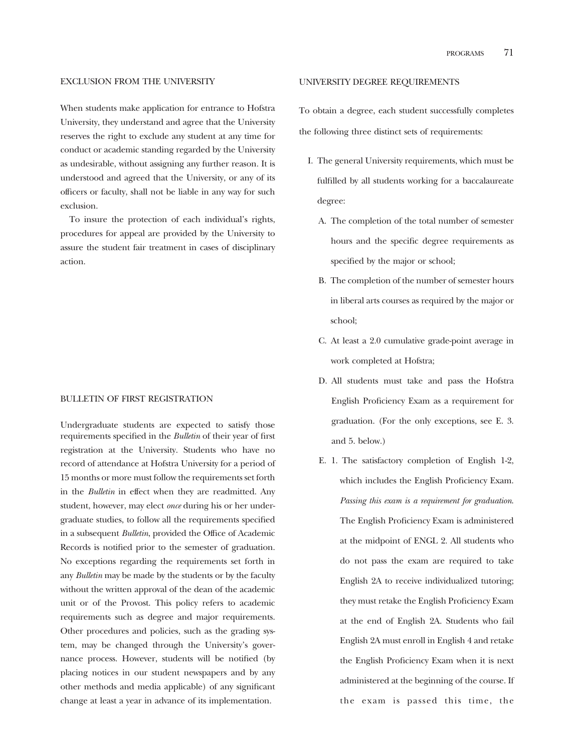#### EXCLUSION FROM THE UNIVERSITY

When students make application for entrance to Hofstra University, they understand and agree that the University reserves the right to exclude any student at any time for conduct or academic standing regarded by the University as undesirable, without assigning any further reason. It is understood and agreed that the University, or any of its offcers or faculty, shall not be liable in any way for such exclusion.

To insure the protection of each individual's rights, procedures for appeal are provided by the University to assure the student fair treatment in cases of disciplinary action.

# BULLETIN OF FIRST REGISTRATION

Undergraduate students are expected to satisfy those requirements specifed in the *Bulletin* of their year of frst registration at the University. Students who have no record of attendance at Hofstra University for a period of 15 months or more must follow the requirements set forth in the *Bulletin* in effect when they are readmitted. Any student, however, may elect *once* during his or her undergraduate studies, to follow all the requirements specifed in a subsequent *Bulletin*, provided the Office of Academic Records is notifed prior to the semester of graduation. No exceptions regarding the requirements set forth in any *Bulletin* may be made by the students or by the faculty without the written approval of the dean of the academic unit or of the Provost. This policy refers to academic requirements such as degree and major requirements. Other procedures and policies, such as the grading system, may be changed through the University's governance process. However, students will be notifed (by placing notices in our student newspapers and by any other methods and media applicable) of any signifcant change at least a year in advance of its implementation.

#### UNIVERSITY DEGREE REQUIREMENTS

To obtain a degree, each student successfully completes the following three distinct sets of requirements:

- I. The general University requirements, which must be fulflled by all students working for a baccalaureate degree:
	- A. The completion of the total number of semester hours and the specifc degree requirements as specifed by the major or school;
	- B. The completion of the number of semester hours in liberal arts courses as required by the major or school;
	- C. At least a 2.0 cumulative grade-point average in work completed at Hofstra;
	- D. All students must take and pass the Hofstra English Profciency Exam as a requirement for graduation. (For the only exceptions, see E. 3. and 5. below.)
	- E. 1. The satisfactory completion of English 1-2, which includes the English Proficiency Exam. *Passing this exam is a requirement for graduation*. The English Proficiency Exam is administered at the midpoint of ENGL 2. All students who do not pass the exam are required to take English 2A to receive individualized tutoring; they must retake the English Proficiency Exam at the end of English 2A. Students who fail English 2A must enroll in English 4 and retake the English Profciency Exam when it is next administered at the beginning of the course. If the exam is passed this time, the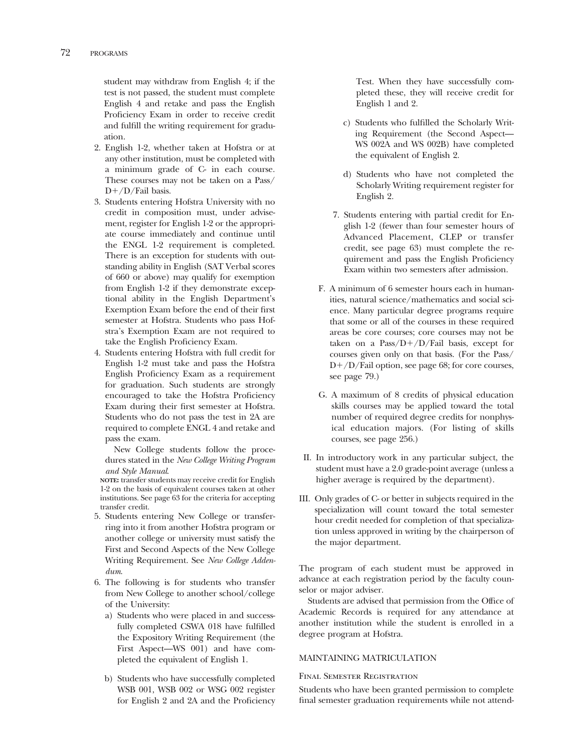student may withdraw from English 4; if the test is not passed, the student must complete English 4 and retake and pass the English Proficiency Exam in order to receive credit and fulfll the writing requirement for graduation.

- 2. English 1-2, whether taken at Hofstra or at any other institution, must be completed with a minimum grade of C- in each course. These courses may not be taken on a Pass/  $D+/D$ /Fail basis.
- 3. Students entering Hofstra University with no credit in composition must, under advisement, register for English 1-2 or the appropriate course immediately and continue until the ENGL 1-2 requirement is completed. There is an exception for students with outstanding ability in English (SAT Verbal scores of 660 or above) may qualify for exemption from English 1-2 if they demonstrate exceptional ability in the English Department's Exemption Exam before the end of their frst semester at Hofstra. Students who pass Hofstra's Exemption Exam are not required to take the English Proficiency Exam.
- 4. Students entering Hofstra with full credit for English 1-2 must take and pass the Hofstra English Profciency Exam as a requirement for graduation. Such students are strongly encouraged to take the Hofstra Profciency Exam during their frst semester at Hofstra. Students who do not pass the test in 2A are required to complete ENGL 4 and retake and pass the exam.

New College students follow the procedures stated in the *New College Writing Program and Style Manual*.

**NOTE:** transfer students may receive credit for English 1-2 on the basis of equivalent courses taken at other institutions. See page 63 for the criteria for accepting transfer credit.

- 5. Students entering New College or transferring into it from another Hofstra program or another college or university must satisfy the First and Second Aspects of the New College Writing Requirement. See *New College Addendum*.
- 6. The following is for students who transfer from New College to another school/college of the University:
	- a) Students who were placed in and successfully completed CSWA 018 have fulflled the Expository Writing Requirement (the First Aspect—WS 001) and have completed the equivalent of English 1.
	- b) Students who have successfully completed WSB 001, WSB 002 or WSG 002 register for English 2 and 2A and the Profciency

Test. When they have successfully completed these, they will receive credit for English 1 and 2.

- c) Students who fulflled the Scholarly Writing Requirement (the Second Aspect— WS 002A and WS 002B) have completed the equivalent of English 2.
- d) Students who have not completed the Scholarly Writing requirement register for English 2.
- 7. Students entering with partial credit for English 1-2 (fewer than four semester hours of Advanced Placement, CLEP or transfer credit, see page 63) must complete the requirement and pass the English Proficiency Exam within two semesters after admission.
- F. A minimum of 6 semester hours each in humanities, natural science/mathematics and social science. Many particular degree programs require that some or all of the courses in these required areas be core courses; core courses may not be taken on a Pass/ $D+/D$ /Fail basis, except for courses given only on that basis. (For the Pass/  $D+/D$ /Fail option, see page 68; for core courses, see page 79.)
- G. A maximum of 8 credits of physical education skills courses may be applied toward the total number of required degree credits for nonphysical education majors. (For listing of skills courses, see page 256.)
- II. In introductory work in any particular subject, the student must have a 2.0 grade-point average (unless a higher average is required by the department).
- III. Only grades of C- or better in subjects required in the specialization will count toward the total semester hour credit needed for completion of that specialization unless approved in writing by the chairperson of the major department.

The program of each student must be approved in advance at each registration period by the faculty counselor or major adviser.

Students are advised that permission from the Office of Academic Records is required for any attendance at another institution while the student is enrolled in a degree program at Hofstra.

# MAINTAINING MATRICULATION

# Final Semester Registration

Students who have been granted permission to complete fnal semester graduation requirements while not attend-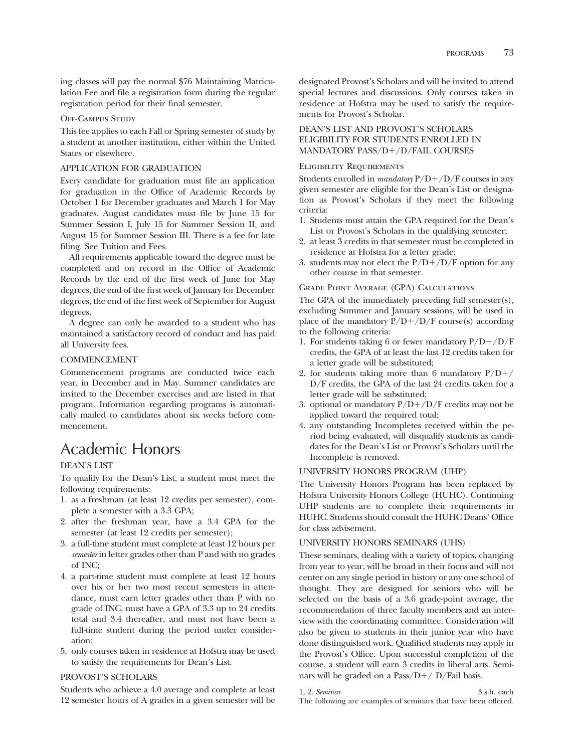ing classes will pay the normal \$76 Maintaining Matriculation Fee and fle a registration form during the regular registration period for their fnal semester.

# Off-Campus Study

This fee applies to each Fall or Spring semester of study by a student at another institution, either within the United States or elsewhere.

# APPLICATION FOR GRADUATION

Every candidate for graduation must fle an application for graduation in the Office of Academic Records by October 1 for December graduates and March 1 for May graduates. August candidates must fle by June 15 for Summer Session I, July 15 for Summer Session II, and August 15 for Summer Session III. There is a fee for late fling. See Tuition and Fees.

All requirements applicable toward the degree must be completed and on record in the Office of Academic Records by the end of the frst week of June for May degrees, the end of the frst week of January for December degrees, the end of the frst week of September for August degrees.

A degree can only be awarded to a student who has maintained a satisfactory record of conduct and has paid all University fees.

### COMMENCEMENT

Commencement programs are conducted twice each year, in December and in May. Summer candidates are invited to the December exercises and are listed in that program. Information regarding programs is automatically mailed to candidates about six weeks before commencement.

# Academic Honors

# DEAN'S LIST

To qualify for the Dean's List, a student must meet the following requirements:

- 1. as a freshman (at least 12 credits per semester), complete a semester with a 3.3 GPA;
- 2. after the freshman year, have a 3.4 GPA for the semester (at least 12 credits per semester);
- 3. a full-time student must complete at least 12 hours per *semester* in letter grades other than P and with no grades of INC;
- 4. a part-time student must complete at least 12 hours over his or her two most recent semesters in attendance, must earn letter grades other than P with no grade of INC, must have a GPA of 3.3 up to 24 credits total and 3.4 thereafter, and must not have been a full-time student during the period under consideration;
- 5. only courses taken in residence at Hofstra may be used to satisfy the requirements for Dean's List.

# PROVOST'S SCHOLARS

Students who achieve a 4.0 average and complete at least 12 semester hours of A grades in a given semester will be

designated Provost's Scholars and will be invited to attend special lectures and discussions. Only courses taken in residence at Hofstra may be used to satisfy the requirements for Provost's Scholar.

# DEAN'S LIST AND PROVOST'S SCHOLARS ELIGIBILITY FOR STUDENTS ENROLLED IN MANDATORY PASS/D+/D/FAIL COURSES

#### Eligibility Requirements

Students enrolled in *mandatory*  $P/D+ / D/F$  courses in any given semester are eligible for the Dean's List or designation as Provost's Scholars if they meet the following criteria:

- 1. Students must attain the GPA required for the Dean's List or Provost's Scholars in the qualifying semester;
- 2. at least 3 credits in that semester must be completed in residence at Hofstra for a letter grade;
- 3. students may not elect the  $P/D+/D/F$  option for any other course in that semester.

### Grade Point Average (GPA) Calculations

The GPA of the immediately preceding full semester(s), excluding Summer and January sessions, will be used in place of the mandatory  $P/D+/D/F$  course(s) according to the following criteria:

- 1. For students taking 6 or fewer mandatory  $P/D+/D/F$ credits, the GPA of at least the last 12 credits taken for a letter grade will be substituted;
- 2. for students taking more than 6 mandatory  $P/D+/-$ D/F credits, the GPA of the last 24 credits taken for a letter grade will be substituted;
- 3. optional or mandatory  $P/D + /D/F$  credits may not be applied toward the required total;
- 4. any outstanding Incompletes received within the period being evaluated, will disqualify students as candidates for the Dean's List or Provost's Scholars until the Incomplete is removed.

#### UNIVERSITY HONORS PROGRAM (UHP)

The University Honors Program has been replaced by Hofstra University Honors College (HUHC). Continuing UHP students are to complete their requirements in HUHC. Students should consult the HUHC Deans' Office for class advisement.

# UNIVERSITY HONORS SEMINARS (UHS)

These seminars, dealing with a variety of topics, changing from year to year, will be broad in their focus and will not center on any single period in history or any one school of thought. They are designed for seniors who will be selected on the basis of a 3.6 grade-point average, the recommendation of three faculty members and an interview with the coordinating committee. Consideration will also be given to students in their junior year who have done distinguished work. Qualifed students may apply in the Provost's Office. Upon successful completion of the course, a student will earn 3 credits in liberal arts. Seminars will be graded on a Pass/ $D+$ / D/Fail basis.

1, 2. *Seminar* 3 s.h. each The following are examples of seminars that have been offered.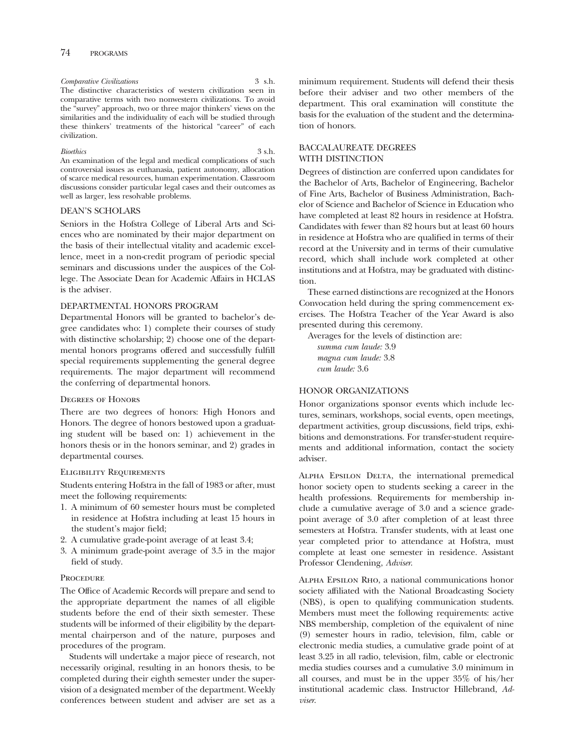# *Comparative Civilizations* 3 s.h.

The distinctive characteristics of western civilization seen in comparative terms with two nonwestern civilizations. To avoid the "survey" approach, two or three major thinkers' views on the similarities and the individuality of each will be studied through these thinkers' treatments of the historical "career" of each civilization.

#### *Bioethics* 3 s.h.

An examination of the legal and medical complications of such controversial issues as euthanasia, patient autonomy, allocation of scarce medical resources, human experimentation. Classroom discussions consider particular legal cases and their outcomes as well as larger, less resolvable problems.

# DEAN'S SCHOLARS

Seniors in the Hofstra College of Liberal Arts and Sciences who are nominated by their major department on the basis of their intellectual vitality and academic excellence, meet in a non-credit program of periodic special seminars and discussions under the auspices of the College. The Associate Dean for Academic Affairs in HCLAS is the adviser.

# DEPARTMENTAL HONORS PROGRAM

Departmental Honors will be granted to bachelor's degree candidates who: 1) complete their courses of study with distinctive scholarship; 2) choose one of the departmental honors programs offered and successfully fulfll special requirements supplementing the general degree requirements. The major department will recommend the conferring of departmental honors.

#### Degrees of Honors

There are two degrees of honors: High Honors and Honors. The degree of honors bestowed upon a graduating student will be based on: 1) achievement in the honors thesis or in the honors seminar, and 2) grades in departmental courses.

#### Eligibility Requirements

Students entering Hofstra in the fall of 1983 or after, must meet the following requirements:

- 1. A minimum of 60 semester hours must be completed in residence at Hofstra including at least 15 hours in the student's major feld;
- 2. A cumulative grade-point average of at least 3.4;
- 3. A minimum grade-point average of 3.5 in the major feld of study.

#### **PROCEDURE**

The Office of Academic Records will prepare and send to the appropriate department the names of all eligible students before the end of their sixth semester. These students will be informed of their eligibility by the departmental chairperson and of the nature, purposes and procedures of the program.

Students will undertake a major piece of research, not necessarily original, resulting in an honors thesis, to be completed during their eighth semester under the supervision of a designated member of the department. Weekly conferences between student and adviser are set as a

minimum requirement. Students will defend their thesis before their adviser and two other members of the department. This oral examination will constitute the basis for the evaluation of the student and the determination of honors.

#### BACCALAUREATE DEGREES WITH DISTINCTION

Degrees of distinction are conferred upon candidates for the Bachelor of Arts, Bachelor of Engineering, Bachelor of Fine Arts, Bachelor of Business Administration, Bachelor of Science and Bachelor of Science in Education who have completed at least 82 hours in residence at Hofstra. Candidates with fewer than 82 hours but at least 60 hours in residence at Hofstra who are qualifed in terms of their record at the University and in terms of their cumulative record, which shall include work completed at other institutions and at Hofstra, may be graduated with distinction.

These earned distinctions are recognized at the Honors Convocation held during the spring commencement exercises. The Hofstra Teacher of the Year Award is also presented during this ceremony.

Averages for the levels of distinction are:

*summa cum laude:* 3.9 *magna cum laude:* 3.8 *cum laude:* 3.6

# HONOR ORGANIZATIONS

Honor organizations sponsor events which include lectures, seminars, workshops, social events, open meetings, department activities, group discussions, feld trips, exhibitions and demonstrations. For transfer-student requirements and additional information, contact the society adviser.

Alpha Epsilon Delta, the international premedical honor society open to students seeking a career in the health professions. Requirements for membership include a cumulative average of 3.0 and a science gradepoint average of 3.0 after completion of at least three semesters at Hofstra. Transfer students, with at least one year completed prior to attendance at Hofstra, must complete at least one semester in residence. Assistant Professor Clendening, *Adviser*.

Alpha Epsilon Rho, a national communications honor society affliated with the National Broadcasting Society (NBS), is open to qualifying communication students. Members must meet the following requirements: active NBS membership, completion of the equivalent of nine (9) semester hours in radio, television, flm, cable or electronic media studies, a cumulative grade point of at least 3.25 in all radio, television, flm, cable or electronic media studies courses and a cumulative 3.0 minimum in all courses, and must be in the upper 35% of his/her institutional academic class. Instructor Hillebrand, *Adviser*.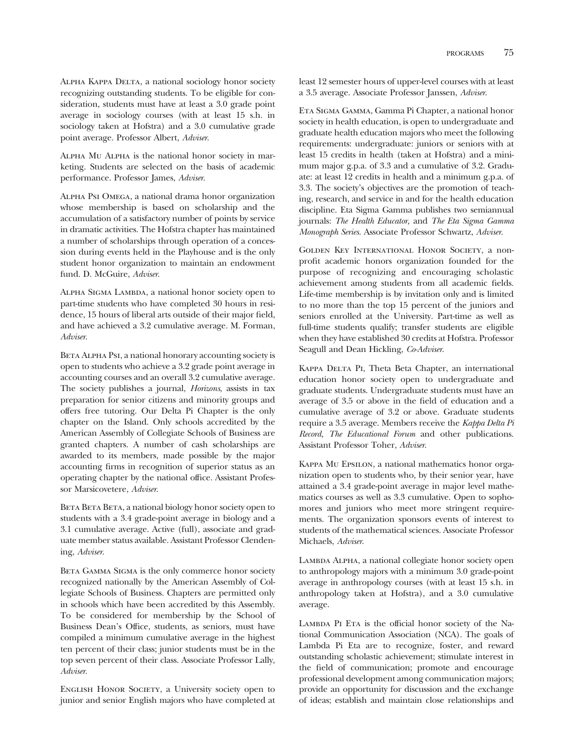Alpha Kappa Delta, a national sociology honor society recognizing outstanding students. To be eligible for consideration, students must have at least a 3.0 grade point average in sociology courses (with at least 15 s.h. in sociology taken at Hofstra) and a 3.0 cumulative grade point average. Professor Albert, *Adviser*.

Alpha Mu Alpha is the national honor society in marketing. Students are selected on the basis of academic performance. Professor James, *Adviser*.

Alpha Psi Omega, a national drama honor organization whose membership is based on scholarship and the accumulation of a satisfactory number of points by service in dramatic activities. The Hofstra chapter has maintained a number of scholarships through operation of a concession during events held in the Playhouse and is the only student honor organization to maintain an endowment fund. D. McGuire, *Adviser*.

Alpha Sigma Lambda, a national honor society open to part-time students who have completed 30 hours in residence, 15 hours of liberal arts outside of their major feld, and have achieved a 3.2 cumulative average. M. Forman, *Adviser*.

BETA ALPHA PsI, a national honorary accounting society is open to students who achieve a 3.2 grade point average in accounting courses and an overall 3.2 cumulative average. The society publishes a journal, *Horizons*, assists in tax preparation for senior citizens and minority groups and offers free tutoring. Our Delta Pi Chapter is the only chapter on the Island. Only schools accredited by the American Assembly of Collegiate Schools of Business are granted chapters. A number of cash scholarships are awarded to its members, made possible by the major accounting frms in recognition of superior status as an operating chapter by the national offce. Assistant Professor Marsicovetere, *Adviser*.

BETA BETA BETA, a national biology honor society open to students with a 3.4 grade-point average in biology and a 3.1 cumulative average. Active (full), associate and graduate member status available. Assistant Professor Clendening, *Adviser*.

BETA GAMMA SIGMA is the only commerce honor society recognized nationally by the American Assembly of Collegiate Schools of Business. Chapters are permitted only in schools which have been accredited by this Assembly. To be considered for membership by the School of Business Dean's Office, students, as seniors, must have compiled a minimum cumulative average in the highest ten percent of their class; junior students must be in the top seven percent of their class. Associate Professor Lally, *Adviser*.

English Honor Society, a University society open to junior and senior English majors who have completed at least 12 semester hours of upper-level courses with at least a 3.5 average. Associate Professor Janssen, *Adviser*.

Eta Sigma Gamma, Gamma Pi Chapter, a national honor society in health education, is open to undergraduate and graduate health education majors who meet the following requirements: undergraduate: juniors or seniors with at least 15 credits in health (taken at Hofstra) and a minimum major g.p.a. of 3.3 and a cumulative of 3.2. Graduate: at least 12 credits in health and a minimum g.p.a. of 3.3. The society's objectives are the promotion of teaching, research, and service in and for the health education discipline. Eta Sigma Gamma publishes two semiannual journals: *The Health Educator,* and *The Eta Sigma Gamma Monograph Series.* Associate Professor Schwartz, *Adviser*.

Golden Key International Honor Society, a nonproft academic honors organization founded for the purpose of recognizing and encouraging scholastic achievement among students from all academic felds. Life-time membership is by invitation only and is limited to no more than the top 15 percent of the juniors and seniors enrolled at the University. Part-time as well as full-time students qualify; transfer students are eligible when they have established 30 credits at Hofstra. Professor Seagull and Dean Hickling, *Co-Adviser*.

KAPPA DELTA PI, Theta Beta Chapter, an international education honor society open to undergraduate and graduate students. Undergraduate students must have an average of 3.5 or above in the feld of education and a cumulative average of 3.2 or above. Graduate students require a 3.5 average. Members receive the *Kappa Delta Pi Record, The Educational Forum* and other publications. Assistant Professor Toher, *Adviser*.

Kappa Mu Epsilon, a national mathematics honor organization open to students who, by their senior year, have attained a 3.4 grade-point average in major level mathematics courses as well as 3.3 cumulative. Open to sophomores and juniors who meet more stringent requirements. The organization sponsors events of interest to students of the mathematical sciences. Associate Professor Michaels, *Adviser*.

LAMBDA ALPHA, a national collegiate honor society open to anthropology majors with a minimum 3.0 grade-point average in anthropology courses (with at least 15 s.h. in anthropology taken at Hofstra), and a 3.0 cumulative average.

LAMBDA PI ETA is the official honor society of the National Communication Association (NCA). The goals of Lambda Pi Eta are to recognize, foster, and reward outstanding scholastic achievement; stimulate interest in the feld of communication; promote and encourage professional development among communication majors; provide an opportunity for discussion and the exchange of ideas; establish and maintain close relationships and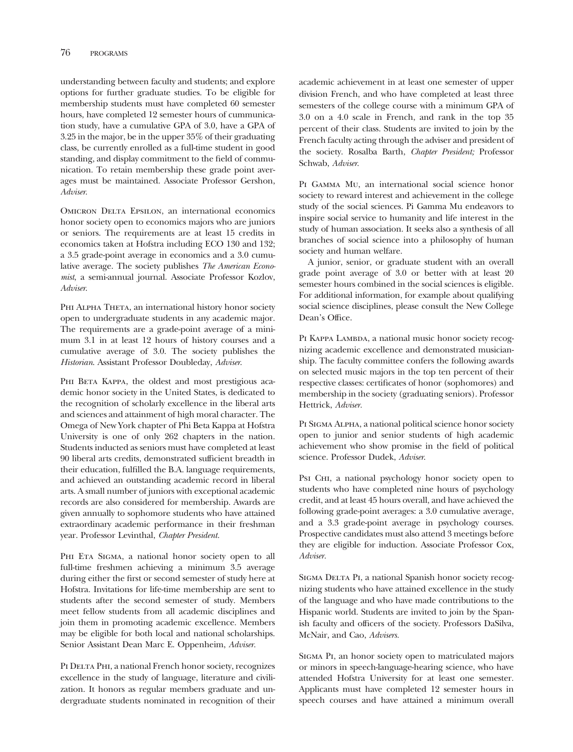understanding between faculty and students; and explore options for further graduate studies. To be eligible for membership students must have completed 60 semester hours, have completed 12 semester hours of cummunication study, have a cumulative GPA of 3.0, have a GPA of 3.25 in the major, be in the upper 35% of their graduating class, be currently enrolled as a full-time student in good standing, and display commitment to the feld of communication. To retain membership these grade point averages must be maintained. Associate Professor Gershon, *Adviser*.

OMICRON DELTA EPSILON, an international economics honor society open to economics majors who are juniors or seniors. The requirements are at least 15 credits in economics taken at Hofstra including ECO 130 and 132; a 3.5 grade-point average in economics and a 3.0 cumulative average. The society publishes *The American Economist*, a semi-annual journal. Associate Professor Kozlov, *Adviser*.

PHI ALPHA THETA, an international history honor society open to undergraduate students in any academic major. The requirements are a grade-point average of a minimum 3.1 in at least 12 hours of history courses and a cumulative average of 3.0. The society publishes the *Historian*. Assistant Professor Doubleday, *Adviser*.

PHI BETA KAPPA, the oldest and most prestigious academic honor society in the United States, is dedicated to the recognition of scholarly excellence in the liberal arts and sciences and attainment of high moral character. The Omega of New York chapter of Phi Beta Kappa at Hofstra University is one of only 262 chapters in the nation. Students inducted as seniors must have completed at least 90 liberal arts credits, demonstrated suffcient breadth in their education, fulflled the B.A. language requirements, and achieved an outstanding academic record in liberal arts. A small number of juniors with exceptional academic records are also considered for membership. Awards are given annually to sophomore students who have attained extraordinary academic performance in their freshman year. Professor Levinthal, *Chapter President.* 

PHI ETA SIGMA, a national honor society open to all full-time freshmen achieving a minimum 3.5 average during either the frst or second semester of study here at Hofstra. Invitations for life-time membership are sent to students after the second semester of study. Members meet fellow students from all academic disciplines and join them in promoting academic excellence. Members may be eligible for both local and national scholarships. Senior Assistant Dean Marc E. Oppenheim, *Adviser.* 

PI DELTA PHI, a national French honor society, recognizes excellence in the study of language, literature and civilization. It honors as regular members graduate and undergraduate students nominated in recognition of their

academic achievement in at least one semester of upper division French, and who have completed at least three semesters of the college course with a minimum GPA of 3.0 on a 4.0 scale in French, and rank in the top 35 percent of their class. Students are invited to join by the French faculty acting through the adviser and president of the society. Rosalba Barth, *Chapter President;* Professor Schwab, *Adviser*.

Pi Gamma Mu, an international social science honor society to reward interest and achievement in the college study of the social sciences. Pi Gamma Mu endeavors to inspire social service to humanity and life interest in the study of human association. It seeks also a synthesis of all branches of social science into a philosophy of human society and human welfare.

A junior, senior, or graduate student with an overall grade point average of 3.0 or better with at least 20 semester hours combined in the social sciences is eligible. For additional information, for example about qualifying social science disciplines, please consult the New College Dean's Office.

PI KAPPA LAMBDA, a national music honor society recognizing academic excellence and demonstrated musicianship. The faculty committee confers the following awards on selected music majors in the top ten percent of their respective classes: certifcates of honor (sophomores) and membership in the society (graduating seniors). Professor Hettrick, *Adviser.* 

PI SIGMA ALPHA, a national political science honor society open to junior and senior students of high academic achievement who show promise in the feld of political science. Professor Dudek, *Adviser*.

Psi CHI, a national psychology honor society open to students who have completed nine hours of psychology credit, and at least 45 hours overall, and have achieved the following grade-point averages: a 3.0 cumulative average, and a 3.3 grade-point average in psychology courses. Prospective candidates must also attend 3 meetings before they are eligible for induction. Associate Professor Cox, *Adviser.* 

SIGMA DELTA PI, a national Spanish honor society recognizing students who have attained excellence in the study of the language and who have made contributions to the Hispanic world. Students are invited to join by the Spanish faculty and officers of the society. Professors DaSilva, McNair, and Cao, *Advisers.* 

Sigma Pi, an honor society open to matriculated majors or minors in speech-language-hearing science, who have attended Hofstra University for at least one semester. Applicants must have completed 12 semester hours in speech courses and have attained a minimum overall